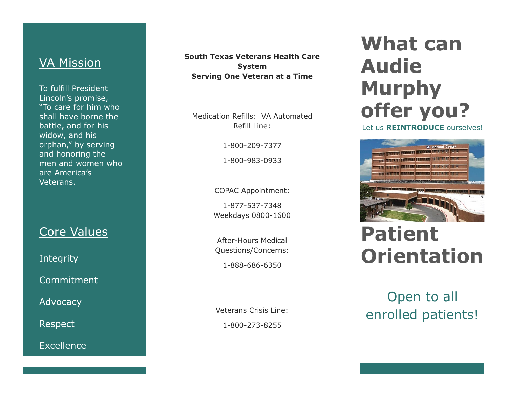### **VA Mission**

To fulfill President Lincoln's promise, "To care for him who shall have borne the battle, and for his widow, and his orphan," by serving and honoring the men and women who are America's Veterans.

## Core Values

**Integrity** 

Commitment

Advocacy

Respect

Excellence

**South Texas Veterans Health Care System Serving One Veteran at a Time**

Medication Refills: VA Automated Refill Line:

> 1-800-209-7377 1-800-983-0933

COPAC Appointment:

1-877-537-7348 Weekdays 0800-1600

After-Hours Medical Questions/Concerns: 1-888-686-6350

Veterans Crisis Line: 1-800-273-8255

## **What can Audie Murphy offer you?**

Let us **REINTRODUCE** ourselves!



# **Patient Orientation**

Open to all enrolled patients!